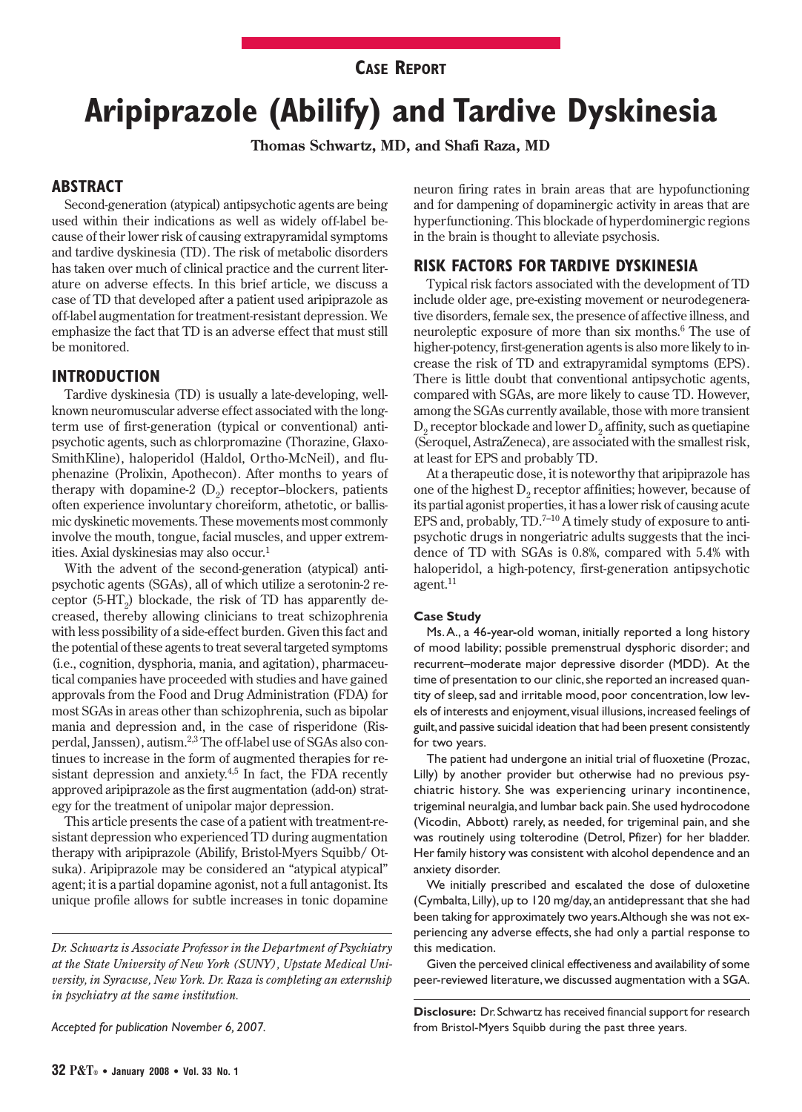## **CASE REPORT**

# **Aripiprazole (Abilify) and Tardive Dyskinesia**

**Thomas Schwartz, MD, and Shafi Raza, MD**

## **ABSTRACT**

Second-generation (atypical) antipsychotic agents are being used within their indications as well as widely off-label because of their lower risk of causing extrapyramidal symptoms and tardive dyskinesia (TD). The risk of metabolic disorders has taken over much of clinical practice and the current literature on adverse effects. In this brief article, we discuss a case of TD that developed after a patient used aripiprazole as off-label augmentation for treatment-resistant depression. We emphasize the fact that TD is an adverse effect that must still be monitored.

## **INTRODUCTION**

Tardive dyskinesia (TD) is usually a late-developing, wellknown neuromuscular adverse effect associated with the longterm use of first-generation (typical or conventional) antipsychotic agents, such as chlorpromazine (Thorazine, Glaxo-SmithKline), haloperidol (Haldol, Ortho-McNeil), and fluphenazine (Prolixin, Apothecon). After months to years of therapy with dopamine-2  $(D<sub>2</sub>)$  receptor–blockers, patients often experience involuntary choreiform, athetotic, or ballismic dyskinetic movements. These movements most commonly involve the mouth, tongue, facial muscles, and upper extremities. Axial dyskinesias may also occur.1

With the advent of the second-generation (atypical) antipsychotic agents (SGAs), all of which utilize a serotonin-2 receptor  $(5-HT_2)$  blockade, the risk of TD has apparently decreased, thereby allowing clinicians to treat schizophrenia with less possibility of a side-effect burden. Given this fact and the potential of these agents to treat several targeted symptoms (i.e., cognition , dysphoria, mania, and agitation), pharmaceutical companies have proceeded with studies and have gained approvals from the Food and Drug Administration (FDA) for most SGAs in areas other than schizophrenia, such as bipolar mania and depression and, in the case of risperidone (Risperdal, Janssen), autism.2,3 The off-label use of SGAs also continues to increase in the form of augmented therapies for resistant depression and anxiety. $4.5$  In fact, the FDA recently approved aripiprazole as the first augmentation (add-on) strategy for the treatment of unipolar major depression.

This article presents the case of a patient with treatment-resistant depression who experienced TD during augmentation therapy with aripiprazole (Abilify, Bristol-Myers Squibb/ Otsuka). Aripiprazole may be considered an "atypical atypical" agent; it is a partial dopamine agonist, not a full antagonist. Its unique profile allows for subtle increases in tonic dopamine

*Accepted for publication November 6, 2007.*

neuron firing rates in brain areas that are hypofunctioning and for dampening of dopaminergic activity in areas that are hyperfunctioning. This blockade of hyperdominergic regions in the brain is thought to alleviate psychosis.

## **RISK FACTORS FOR TARDIVE DYSKINESIA**

Typical risk factors associated with the development of TD include older age, pre-existing movement or neurodegenerative disorders, female sex, the presence of affective illness, and neuroleptic exposure of more than six months.6 The use of higher-potency, first-generation agents is also more likely to increase the risk of TD and extrapyramidal symptoms (EPS). There is little doubt that conventional antipsychotic agents, compared with SGAs, are more likely to cause TD. However, among the SGAs currently available, those with more transient  $D<sub>2</sub>$  receptor blockade and lower  $D<sub>2</sub>$  affinity, such as quetiapine (Seroquel, AstraZeneca), are associated with the smallest risk, at least for EPS and probably TD.

At a therapeutic dose, it is noteworthy that aripiprazole has one of the highest  $D<sub>2</sub>$  receptor affinities; however, because of its partial agonist properties, it has a lower risk of causing acute EPS and, probably,  $TD.^{7-10}$  A timely study of exposure to antipsychotic drugs in nongeriatric adults suggests that the incidence of TD with SGAs is 0.8%, compared with 5.4% with haloperidol, a high-potency, first-generation antipsychotic agent.<sup>11</sup>

#### **Case Study**

Ms. A., a 46-year-old woman, initially reported a long history of mood lability; possible premenstrual dysphoric disorder; and recurrent-moderate major depressive disorder (MDD). At the time of presentation to our clinic, she reported an increased quantity of sleep, sad and irritable mood, poor concentration, low levels of interests and enjoyment, visual illusions, increased feelings of guilt, and passive suicidal ideation that had been present consistently for two years.

The patient had undergone an initial trial of fluoxetine (Prozac, Lilly) by another provider but otherwise had no previous psychiatric history. She was experiencing urinary incontinence, trigeminal neuralgia, and lumbar back pain. She used hydrocodone (Vicodin, Abbott) rarely, as needed, for trigeminal pain, and she was routinely using tolterodine (Detrol, Pfizer) for her bladder. Her family history was consistent with alcohol dependence and an anxiety disorder.

We initially prescribed and escalated the dose of duloxetine (Cymbalta, Lilly), up to 120 mg/day, an antidepressant that she had been taking for approximately two years. Although she was not experiencing any adverse effects, she had only a partial response to this medication.

Given the perceived clinical effectiveness and availability of some peer-reviewed literature, we discussed augmentation with a SGA.

*Dr. Schwartz is Associate Professor in the Department of Psychiatry at the State University of New York (SUNY), Upstate Medical University, in Syracuse, New York. Dr. Raza is completing an externship in psychiatry at the same institution.*

**Disclosure:** Dr. Schwartz has received financial support for research from Bristol-Myers Squibb during the past three years.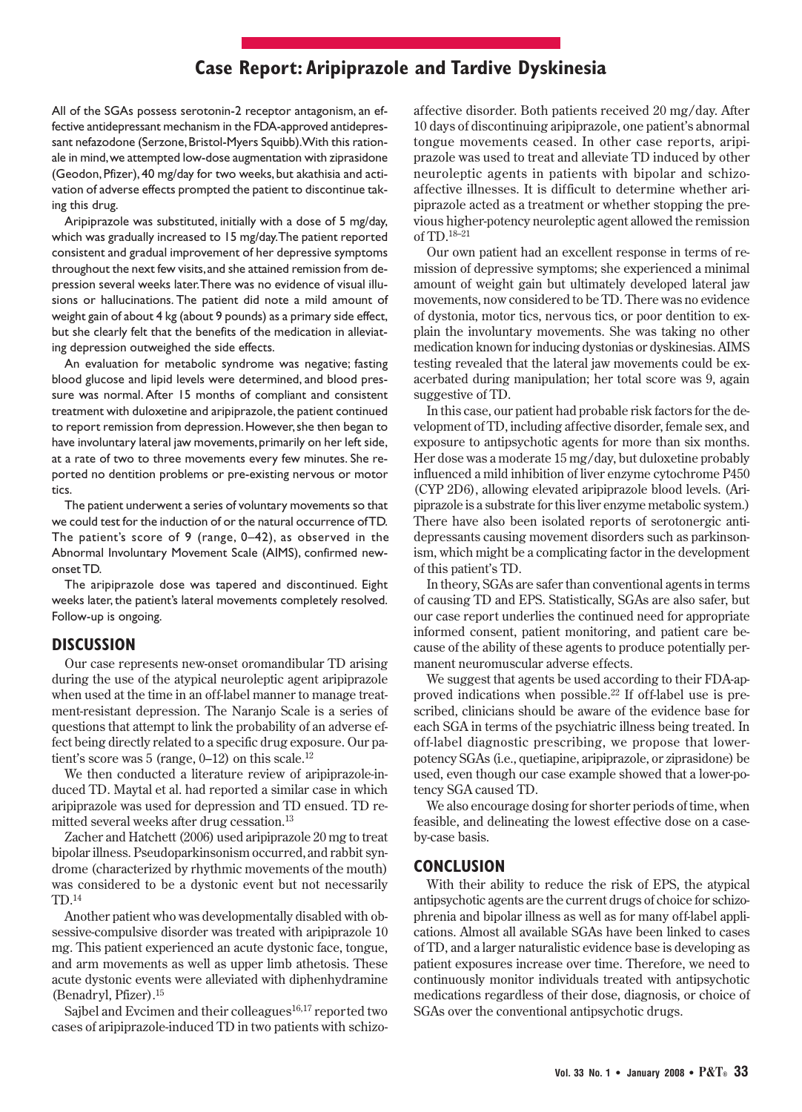## **Case Report: Aripiprazole and Tardive Dyskinesia**

All of the SGAs possess serotonin-2 receptor antagonism, an effective antidepressant mechanism in the FDA-approved antidepressant nefazodone (Serzone, Bristol-Myers Squibb). With this rationale in mind, we attempted low-dose augmentation with ziprasidone (Geodon, Pfizer), 40 mg/day for two weeks, but akathisia and activation of adverse effects prompted the patient to discontinue taking this drug.

Aripiprazole was substituted, initially with a dose of 5 mg/day, which was gradually increased to 15 mg/day. The patient reported consistent and gradual improvement of her depressive symptoms throughout the next few visits, and she attained remission from depression several weeks later. There was no evidence of visual illusions or hallucinations. The patient did note a mild amount of weight gain of about 4 kg (about 9 pounds) as a primary side effect, but she clearly felt that the benefits of the medication in alleviating depression outweighed the side effects.

An evaluation for metabolic syndrome was negative; fasting blood glucose and lipid levels were determined, and blood pressure was normal. After 15 months of compliant and consistent treatment with duloxetine and aripiprazole, the patient continued to report remission from depression. However, she then began to have involuntary lateral jaw movements, primarily on her left side, at a rate of two to three movements every few minutes. She reported no dentition problems or pre-existing nervous or motor tics.

The patient underwent a series of voluntary movements so that we could test for the induction of or the natural occurrence of TD. The patient's score of 9 (range, 0–42), as observed in the Abnormal Involuntary Movement Scale (AIMS), confirmed newonset TD.

The aripiprazole dose was tapered and discontinued. Eight weeks later, the patient's lateral movements completely resolved. Follow-up is ongoing.

#### **DISCUSSION**

Our case represents new-onset oromandibular TD arising during the use of the atypical neuroleptic agent aripiprazole when used at the time in an off-label manner to manage treatment-resistant depression. The Naranjo Scale is a series of questions that attempt to link the probability of an adverse effect being directly related to a specific drug exposure. Our patient's score was 5 (range,  $0-12$ ) on this scale.<sup>12</sup>

We then conducted a literature review of aripiprazole-induced TD. Maytal et al. had reported a similar case in which aripiprazole was used for depression and TD ensued. TD remitted several weeks after drug cessation.13

Zacher and Hatchett (2006) used aripiprazole 20 mg to treat bipolar illness. Pseudoparkinsonism occurred,and rabbit syndrome (characterized by rhythmic movements of the mouth) was considered to be a dystonic event but not necessarily TD.14

Another patient who was developmentally disabled with obsessive -compulsive disorder was treated with aripiprazole 10 mg. This patient experienced an acute dystonic face, tongue, and arm movements as well as upper limb athetosis. These acute dystonic events were alleviated with diphenhydramine (Benadryl, Pfizer).15

Sajbel and Evcimen and their colleagues<sup>16,17</sup> reported two cases of aripiprazole-induced TD in two patients with schizo -

affective disorder. Both patients received 20 mg/day. After 10 days of discontinuing aripiprazole, one patient's abnormal tongue movements ceased. In other case reports, aripiprazole was used to treat and alleviate TD induced by other neuroleptic agents in patients with bipolar and schizoaffective illnesses. It is difficult to determine whether ari piprazole acted as a treatment or whether stopping the previous higher-potency neuroleptic agent allowed the remission of TD.18–21

Our own patient had an excellent response in terms of remission of depressive symptoms; she experienced a minimal amount of weight gain but ultimately developed lateral jaw movements, now considered to be TD. There was no evidence of dystonia, motor tics, nervous tics, or poor dentition to explain the involuntary movements. She was taking no other medication known for inducing dystonias or dyskinesias. AIMS testing revealed that the lateral jaw movements could be exacerbated during manipulation; her total score was 9, again suggestive of TD.

In this case, our patient had probable risk factors for the development of TD, including affective disorder, female sex, and exposure to antipsychotic agents for more than six months. Her dose was a moderate 15 mg/day, but duloxetine probably influenced a mild inhibition of liver enzyme cytochrome P450 (CYP 2D6), allowing elevated aripiprazole blood levels. (Ari piprazole is a substrate for this liver enzyme metabolic system.) There have also been isolated reports of serotonergic antidepressants causing movement disorders such as parkinsonism, which might be a complicating factor in the development of this patient's TD.

In theory, SGAs are safer than conventional agents in terms of causing TD and EPS. Statistically, SGAs are also safer, but our case report underlies the continued need for appropriate informed consent, patient monitoring, and patient care because of the ability of these agents to produce potentially permanent neuromuscular adverse effects.

We suggest that agents be used according to their FDA-approved indications when possible.22 If off-label use is prescribed, clinicians should be aware of the evidence base for each SGA in terms of the psychiatric illness being treated. In off-label diagnostic prescribing, we propose that lower potency SGAs (i.e., quetiapine, aripiprazole, or ziprasidone) be used, even though our case example showed that a lower-potency SGA caused TD.

We also encourage dosing for shorter periods of time, when feasible, and delineating the lowest effective dose on a caseby-case basis.

#### **CONCLUSION**

With their ability to reduce the risk of EPS, the atypical antipsychotic agents are the current drugs of choice for schizophrenia and bipolar illness as well as for many off-label applications. Almost all available SGAs have been linked to cases of TD, and a larger naturalistic evidence base is developing as patient exposures increase over time. Therefore, we need to continuously monitor individuals treated with antipsychotic medications regardless of their dose, diagnosis, or choice of SGAs over the conventional antipsychotic drugs.